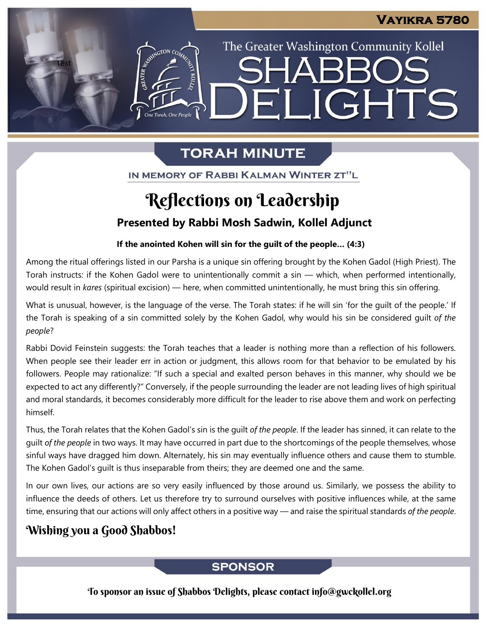The Greater Washington Community Kollel

ELIGHTS

# **TORAH MINUTE**

**The Torah**, One People

IN MEMORY OF RABBI KALMAN WINTER ZT"L

# Reflections on Leadership

## **Presented by Rabbi Mosh Sadwin, Kollel Adjunct**

### **If the anointed Kohen will sin for the guilt of the people… (4:3)**

Among the ritual offerings listed in our Parsha is a unique sin offering brought by the Kohen Gadol (High Priest). The Torah instructs: if the Kohen Gadol were to unintentionally commit a sin — which, when performed intentionally, would result in *kares* (spiritual excision) — here, when committed unintentionally, he must bring this sin offering.

What is unusual, however, is the language of the verse. The Torah states: if he will sin 'for the guilt of the people.' If the Torah is speaking of a sin committed solely by the Kohen Gadol, why would his sin be considered guilt *of the people*?

Rabbi Dovid Feinstein suggests: the Torah teaches that a leader is nothing more than a reflection of his followers. When people see their leader err in action or judgment, this allows room for that behavior to be emulated by his followers. People may rationalize: "If such a special and exalted person behaves in this manner, why should we be expected to act any differently?" Conversely, if the people surrounding the leader are not leading lives of high spiritual and moral standards, it becomes considerably more difficult for the leader to rise above them and work on perfecting himself.

Thus, the Torah relates that the Kohen Gadol's sin is the guilt *of the people*. If the leader has sinned, it can relate to the guilt *of the people* in two ways. It may have occurred in part due to the shortcomings of the people themselves, whose sinful ways have dragged him down. Alternately, his sin may eventually influence others and cause them to stumble. The Kohen Gadol's guilt is thus inseparable from theirs; they are deemed one and the same.

In our own lives, our actions are so very easily influenced by those around us. Similarly, we possess the ability to influence the deeds of others. Let us therefore try to surround ourselves with positive influences while, at the same time, ensuring that our actions will only affect others in a positive way — and raise the spiritual standards *of the people*.

# Wishing you a Good Shabbos!

test

### **SPONSOR**

To sponsor an issue of Shabbos Delights, please contact info@gwckollel.org